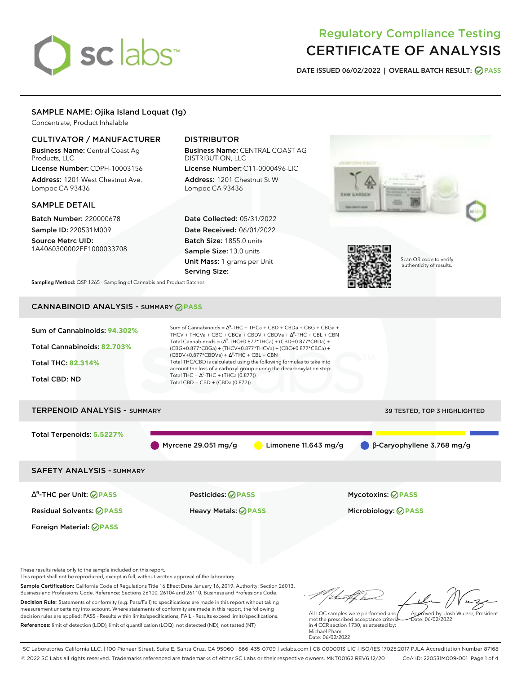# sclabs<sup>\*</sup>

# Regulatory Compliance Testing CERTIFICATE OF ANALYSIS

**DATE ISSUED 06/02/2022 | OVERALL BATCH RESULT: PASS**

# SAMPLE NAME: Ojika Island Loquat (1g)

Concentrate, Product Inhalable

# CULTIVATOR / MANUFACTURER

Business Name: Central Coast Ag Products, LLC

License Number: CDPH-10003156 Address: 1201 West Chestnut Ave. Lompoc CA 93436

# SAMPLE DETAIL

Batch Number: 220000678 Sample ID: 220531M009

Source Metrc UID: 1A4060300002EE1000033708

# DISTRIBUTOR

Business Name: CENTRAL COAST AG DISTRIBUTION, LLC License Number: C11-0000496-LIC

Address: 1201 Chestnut St W Lompoc CA 93436

Date Collected: 05/31/2022 Date Received: 06/01/2022 Batch Size: 1855.0 units Sample Size: 13.0 units Unit Mass: 1 grams per Unit Serving Size:





Scan QR code to verify authenticity of results.

**Sampling Method:** QSP 1265 - Sampling of Cannabis and Product Batches

# CANNABINOID ANALYSIS - SUMMARY **PASS**



Myrcene 29.051 mg/g Limonene 11.643 mg/g β-Caryophyllene 3.768 mg/g

SAFETY ANALYSIS - SUMMARY

∆ 9 -THC per Unit: **PASS** Pesticides: **PASS** Mycotoxins: **PASS**

Foreign Material: **PASS**

Residual Solvents: **PASS** Heavy Metals: **PASS** Microbiology: **PASS**

These results relate only to the sample included on this report.

This report shall not be reproduced, except in full, without written approval of the laboratory.

Sample Certification: California Code of Regulations Title 16 Effect Date January 16, 2019. Authority: Section 26013, Business and Professions Code. Reference: Sections 26100, 26104 and 26110, Business and Professions Code. Decision Rule: Statements of conformity (e.g. Pass/Fail) to specifications are made in this report without taking measurement uncertainty into account. Where statements of conformity are made in this report, the following decision rules are applied: PASS - Results within limits/specifications, FAIL - Results exceed limits/specifications.

References: limit of detection (LOD), limit of quantification (LOQ), not detected (ND), not tested (NT)

tal f h Approved by: Josh Wurzer, President

 $ate: 06/02/2022$ 

All LQC samples were performed and met the prescribed acceptance criteria in 4 CCR section 1730, as attested by: Michael Pham Date: 06/02/2022

SC Laboratories California LLC. | 100 Pioneer Street, Suite E, Santa Cruz, CA 95060 | 866-435-0709 | sclabs.com | C8-0000013-LIC | ISO/IES 17025:2017 PJLA Accreditation Number 87168 © 2022 SC Labs all rights reserved. Trademarks referenced are trademarks of either SC Labs or their respective owners. MKT00162 REV6 12/20 CoA ID: 220531M009-001 Page 1 of 4